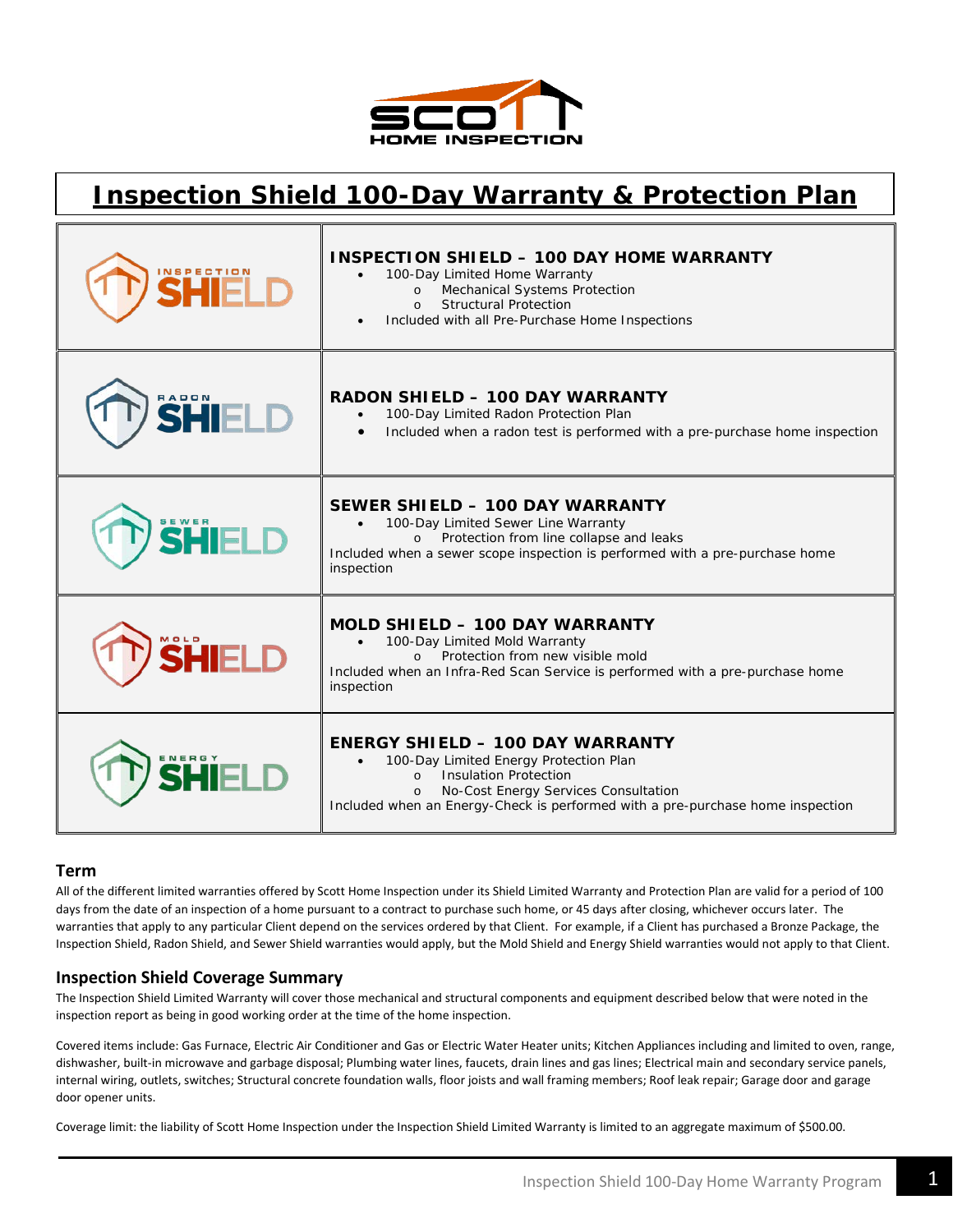

# **Inspection Shield 100-Day Warranty & Protection Plan**

| <b>NSPECTION</b> | <b>INSPECTION SHIELD - 100 DAY HOME WARRANTY</b><br>100-Day Limited Home Warranty<br>Mechanical Systems Protection<br>$\Omega$<br><b>Structural Protection</b><br>$\Omega$<br>Included with all Pre-Purchase Home Inspections                                       |
|------------------|---------------------------------------------------------------------------------------------------------------------------------------------------------------------------------------------------------------------------------------------------------------------|
| RADON            | <b>RADON SHIELD - 100 DAY WARRANTY</b><br>100-Day Limited Radon Protection Plan<br>Included when a radon test is performed with a pre-purchase home inspection                                                                                                      |
| <b>SEWER</b>     | SEWER SHIELD - 100 DAY WARRANTY<br>100-Day Limited Sewer Line Warranty<br>Protection from line collapse and leaks<br>$\Omega$<br>Included when a sewer scope inspection is performed with a pre-purchase home<br>inspection                                         |
| 10LD             | MOLD SHIELD - 100 DAY WARRANTY<br>100-Day Limited Mold Warranty<br>Protection from new visible mold<br>$\Omega$<br>Included when an Infra-Red Scan Service is performed with a pre-purchase home<br>inspection                                                      |
|                  | <b>ENERGY SHIELD - 100 DAY WARRANTY</b><br>100-Day Limited Energy Protection Plan<br><b>Insulation Protection</b><br>$\Omega$<br>No-Cost Energy Services Consultation<br>$\Omega$<br>Included when an Energy-Check is performed with a pre-purchase home inspection |

## **Term**

All of the different limited warranties offered by Scott Home Inspection under its Shield Limited Warranty and Protection Plan are valid for a period of 100 days from the date of an inspection of a home pursuant to a contract to purchase such home, or 45 days after closing, whichever occurs later. The warranties that apply to any particular Client depend on the services ordered by that Client. For example, if a Client has purchased a Bronze Package, the Inspection Shield, Radon Shield, and Sewer Shield warranties would apply, but the Mold Shield and Energy Shield warranties would not apply to that Client.

#### **Inspection Shield Coverage Summary**

The Inspection Shield Limited Warranty will cover those mechanical and structural components and equipment described below that were noted in the inspection report as being in good working order at the time of the home inspection.

Covered items include: Gas Furnace, Electric Air Conditioner and Gas or Electric Water Heater units; Kitchen Appliances including and limited to oven, range, dishwasher, built-in microwave and garbage disposal; Plumbing water lines, faucets, drain lines and gas lines; Electrical main and secondary service panels, internal wiring, outlets, switches; Structural concrete foundation walls, floor joists and wall framing members; Roof leak repair; Garage door and garage door opener units.

Coverage limit: the liability of Scott Home Inspection under the Inspection Shield Limited Warranty is limited to an aggregate maximum of \$500.00.